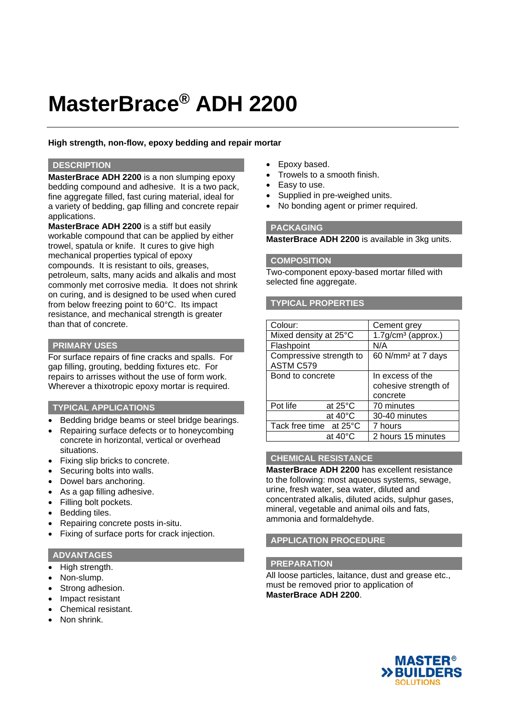# **MasterBrace® ADH 2200**

## **High strength, non-flow, epoxy bedding and repair mortar**

### **DESCRIPTION**

**MasterBrace ADH 2200** is a non slumping epoxy bedding compound and adhesive. It is a two pack, fine aggregate filled, fast curing material, ideal for a variety of bedding, gap filling and concrete repair applications.

**MasterBrace ADH 2200** is a stiff but easily workable compound that can be applied by either trowel, spatula or knife. It cures to give high mechanical properties typical of epoxy compounds. It is resistant to oils, greases, petroleum, salts, many acids and alkalis and most commonly met corrosive media. It does not shrink on curing, and is designed to be used when cured from below freezing point to 60°C. Its impact resistance, and mechanical strength is greater than that of concrete.

## **PRIMARY USES**

For surface repairs of fine cracks and spalls. For gap filling, grouting, bedding fixtures etc. For repairs to arrisses without the use of form work. Wherever a thixotropic epoxy mortar is required.

## **TYPICAL APPLICATIONS**

- Bedding bridge beams or steel bridge bearings.
- Repairing surface defects or to honeycombing concrete in horizontal, vertical or overhead situations.
- Fixing slip bricks to concrete.
- Securing bolts into walls.
- Dowel bars anchoring.
- As a gap filling adhesive.
- Filling bolt pockets.
- Bedding tiles.
- Repairing concrete posts in-situ.
- Fixing of surface ports for crack injection.

## **ADVANTAGES**

- High strength.
- Non-slump.
- Strong adhesion.
- Impact resistant
- Chemical resistant.
- Non shrink.
- Epoxy based.
- Trowels to a smooth finish.
- Easy to use.
- Supplied in pre-weighed units.
- No bonding agent or primer required.

## **PACKAGING**

**MasterBrace ADH 2200** is available in 3kg units.

### **COMPOSITION**

Two-component epoxy-based mortar filled with selected fine aggregate.

## **TYPICAL PROPERTIES**

| Colour:                              |                   | Cement grey                    |
|--------------------------------------|-------------------|--------------------------------|
| Mixed density at 25°C                |                   | $1.7$ g/cm $3$ (approx.)       |
| Flashpoint                           |                   | N/A                            |
| Compressive strength to<br>ASTM C579 |                   | 60 N/mm <sup>2</sup> at 7 days |
| Bond to concrete                     |                   | In excess of the               |
|                                      |                   | cohesive strength of           |
|                                      |                   | concrete                       |
| Pot life                             | at $25^{\circ}$ C | 70 minutes                     |
|                                      | at $40^{\circ}$ C | 30-40 minutes                  |
| Tack free time at 25°C               |                   | 7 hours                        |
|                                      | at 40°C           | 2 hours 15 minutes             |

# **CHEMICAL RESISTANCE**

**MasterBrace ADH 2200** has excellent resistance to the following: most aqueous systems, sewage, urine, fresh water, sea water, diluted and concentrated alkalis, diluted acids, sulphur gases, mineral, vegetable and animal oils and fats, ammonia and formaldehyde.

# **APPLICATION PROCEDURE**

## **PREPARATION**

All loose particles, laitance, dust and grease etc., must be removed prior to application of **MasterBrace ADH 2200**.